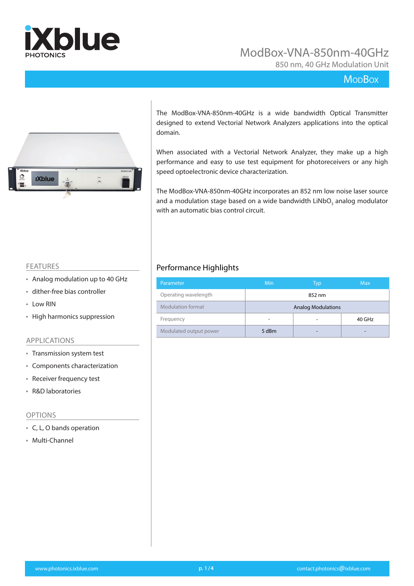

850 nm, 40 GHz Modulation Unit

### **MopBox**



The ModBox-VNA-850nm-40GHz is a wide bandwidth Optical Transmitter designed to extend Vectorial Network Analyzers applications into the optical domain.

When associated with a Vectorial Network Analyzer, they make up a high performance and easy to use test equipment for photoreceivers or any high speed optoelectronic device characterization.

The ModBox-VNA-850nm-40GHz incorporates an 852 nm low noise laser source and a modulation stage based on a wide bandwidth LiNbO<sub>3</sub> analog modulator with an automatic bias control circuit.

#### FEATURES

- Analog modulation up to 40 GHz
- dither-free bias controller
- Low RIN
- High harmonics suppression

#### APPLICATIONS

- Transmission system test
- Components characterization
- Receiver frequency test
- R&D laboratories

#### OPTIONS

- C, L, O bands operation
- Multi-Channel

### Performance Highlights

| Parameter                | Min                       | Typ | <b>Max</b> |  |
|--------------------------|---------------------------|-----|------------|--|
| Operating wavelength     | 852 nm                    |     |            |  |
| <b>Modulation format</b> | <b>Analog Modulations</b> |     |            |  |
| Frequency                |                           |     | 40 GHz     |  |
| Modulated output power   | 5 dBm                     |     |            |  |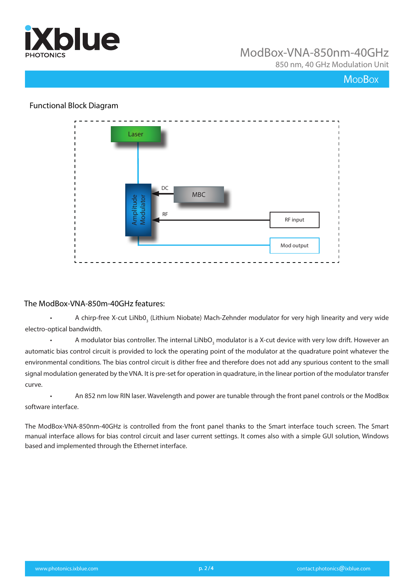

850 nm, 40 GHz Modulation Unit

## **MoDBox**

### Functional Block Diagram



### The ModBox-VNA-850m-40GHz features:

• A chirp-free X-cut LiNb0<sub>3</sub> (Lithium Niobate) Mach-Zehnder modulator for very high linearity and very wide electro-optical bandwidth.

• A modulator bias controller. The internal LiNbO<sub>3</sub> modulator is a X-cut device with very low drift. However an automatic bias control circuit is provided to lock the operating point of the modulator at the quadrature point whatever the environmental conditions. The bias control circuit is dither free and therefore does not add any spurious content to the small signal modulation generated by the VNA. It is pre-set for operation in quadrature, in the linear portion of the modulator transfer curve.

• An 852 nm low RIN laser. Wavelength and power are tunable through the front panel controls or the ModBox software interface.

The ModBox-VNA-850nm-40GHz is controlled from the front panel thanks to the Smart interface touch screen. The Smart manual interface allows for bias control circuit and laser current settings. It comes also with a simple GUI solution, Windows based and implemented through the Ethernet interface.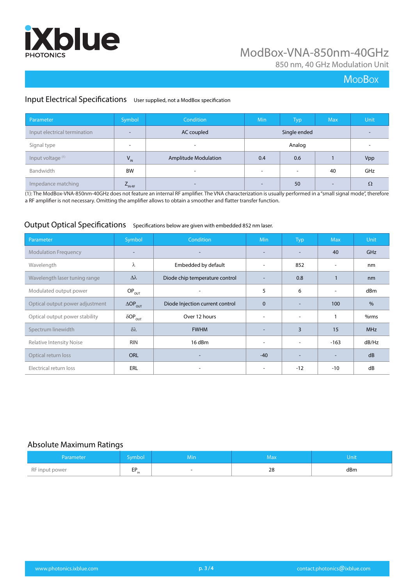

850 nm, 40 GHz Modulation Unit

## **MoDBox**

### Input Electrical Specifications User supplied, not a ModBox specification

| Parameter                    | Symbol                   | <b>Condition</b>            | <b>Min</b>               | <b>Typ</b>               | <b>Max</b> | <b>Unit</b> |
|------------------------------|--------------------------|-----------------------------|--------------------------|--------------------------|------------|-------------|
| Input electrical termination | $\overline{\phantom{0}}$ | AC coupled                  |                          | Single ended             |            |             |
| Signal type                  | $\overline{\phantom{a}}$ |                             | Analog                   |                          |            |             |
| Input voltage <sup>(1)</sup> | $V_{IN}$                 | <b>Amplitude Modulation</b> | 0.4                      | 0.6                      |            | Vpp         |
| Bandwidth                    | <b>BW</b>                | $\overline{\phantom{a}}$    | $\overline{\phantom{a}}$ | $\overline{\phantom{a}}$ | 40         | GHz         |
| Impedance matching           | $L_{\text{IN-RF}}$       |                             | $\overline{\phantom{0}}$ | 50                       | -          | $\Omega$    |

(1): The ModBox-VNA-850nm-40GHz does not feature an internal RF amplifier. The VNA characterization is usually performed in a "small signal mode", therefore a RF amplifier is not necessary. Omitting the amplifier allows to obtain a smoother and flatter transfer function.

## Output Optical Specifications Specifications below are given with embedded 852 nm laser.

| Parameter                       | Symbol                     | Condition                       | <b>Min</b> | <b>Typ</b>               | <b>Max</b> | Unit       |
|---------------------------------|----------------------------|---------------------------------|------------|--------------------------|------------|------------|
| <b>Modulation Frequency</b>     | $\overline{\phantom{0}}$   |                                 |            | $\overline{\phantom{a}}$ | 40         | GHz        |
| Wavelength                      | λ                          | Embedded by default             | ۰          | 852                      |            | nm         |
| Wavelength laser tuning range   | $\Delta \lambda$           | Diode chip temperature control  |            | 0.8                      |            | nm         |
| Modulated output power          | $OP_{OUT}$                 |                                 | 5          | 6                        |            | dBm        |
| Optical output power adjustment | $\Delta OP_{\text{OUT}}$   | Diode Injection current control | $\Omega$   | $\overline{\phantom{a}}$ | 100        | $\%$       |
| Optical output power stability  | $\delta$ OP <sub>OUT</sub> | Over 12 hours                   | ٠          | $\overline{\phantom{a}}$ |            | %rms       |
| Spectrum linewidth              | $\delta\lambda$            | <b>FWHM</b>                     |            | 3                        | 15         | <b>MHz</b> |
| <b>Relative Intensity Noise</b> | <b>RIN</b>                 | 16 dBm                          | ۰          | $\overline{\phantom{a}}$ | $-163$     | dB/Hz      |
| Optical return loss             | <b>ORL</b>                 |                                 | $-40$      |                          |            | dB         |
| Electrical return loss          | ERL                        |                                 |            | $-12$                    | $-10$      | dB         |

#### Absolute Maximum Ratings

| Parameter      | Symbol /      | Min    | Max. | Unit |
|----------------|---------------|--------|------|------|
| RF input power | ED<br>$-1$ in | $\sim$ | 28   | dBm  |